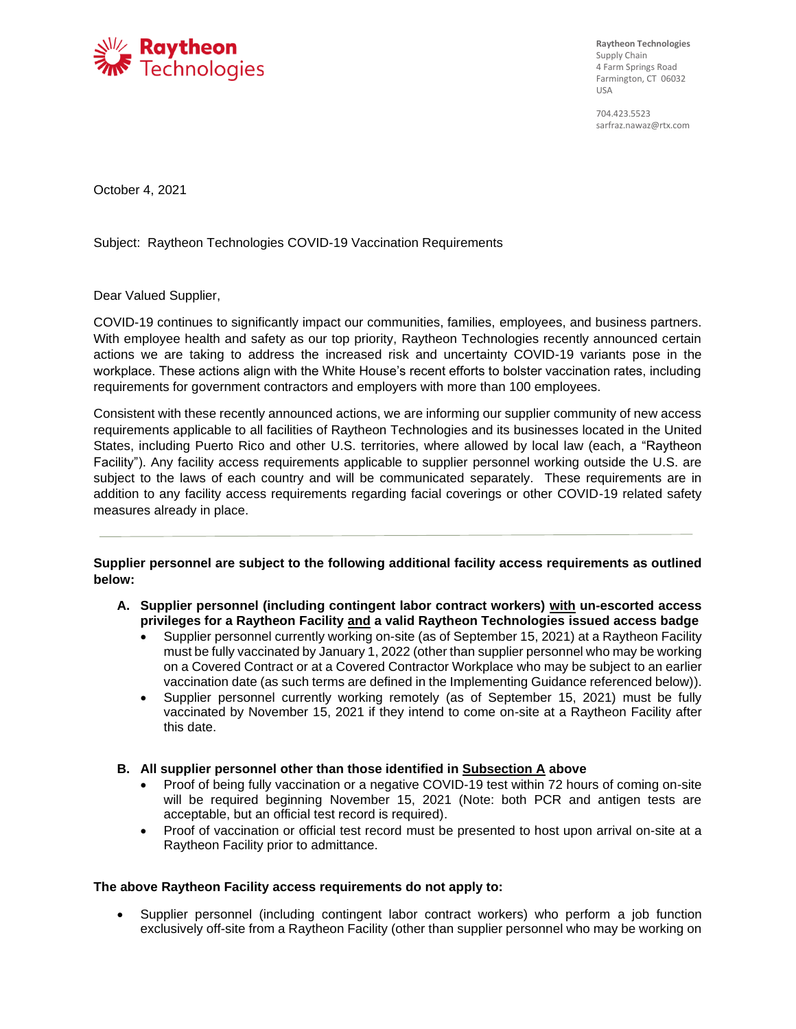

**Raytheon Technologies**  Supply Chain 4 Farm Springs Road Farmington, CT 06032 USA

704.423.5523 sarfraz.nawaz@rtx.com

October 4, 2021

Subject: Raytheon Technologies COVID-19 Vaccination Requirements

Dear Valued Supplier,

COVID-19 continues to significantly impact our communities, families, employees, and business partners. With employee health and safety as our top priority, Raytheon Technologies recently announced certain actions we are taking to address the increased risk and uncertainty COVID-19 variants pose in the workplace. These actions align with the White House's recent efforts to bolster vaccination rates, including requirements for government contractors and employers with more than 100 employees.

Consistent with these recently announced actions, we are informing our supplier community of new access requirements applicable to all facilities of Raytheon Technologies and its businesses located in the United States, including Puerto Rico and other U.S. territories, where allowed by local law (each, a "Raytheon Facility"). Any facility access requirements applicable to supplier personnel working outside the U.S. are subject to the laws of each country and will be communicated separately. These requirements are in addition to any facility access requirements regarding facial coverings or other COVID-19 related safety measures already in place.

**Supplier personnel are subject to the following additional facility access requirements as outlined below:**

- **A. Supplier personnel (including contingent labor contract workers) with un-escorted access privileges for a Raytheon Facility and a valid Raytheon Technologies issued access badge**
	- Supplier personnel currently working on-site (as of September 15, 2021) at a Raytheon Facility must be fully vaccinated by January 1, 2022 (other than supplier personnel who may be working on a Covered Contract or at a Covered Contractor Workplace who may be subject to an earlier vaccination date (as such terms are defined in the Implementing Guidance referenced below)).
	- Supplier personnel currently working remotely (as of September 15, 2021) must be fully vaccinated by November 15, 2021 if they intend to come on-site at a Raytheon Facility after this date.
- **B. All supplier personnel other than those identified in Subsection A above**
	- Proof of being fully vaccination or a negative COVID-19 test within 72 hours of coming on-site will be required beginning November 15, 2021 (Note: both PCR and antigen tests are acceptable, but an official test record is required).
	- Proof of vaccination or official test record must be presented to host upon arrival on-site at a Raytheon Facility prior to admittance.

### **The above Raytheon Facility access requirements do not apply to:**

• Supplier personnel (including contingent labor contract workers) who perform a job function exclusively off-site from a Raytheon Facility (other than supplier personnel who may be working on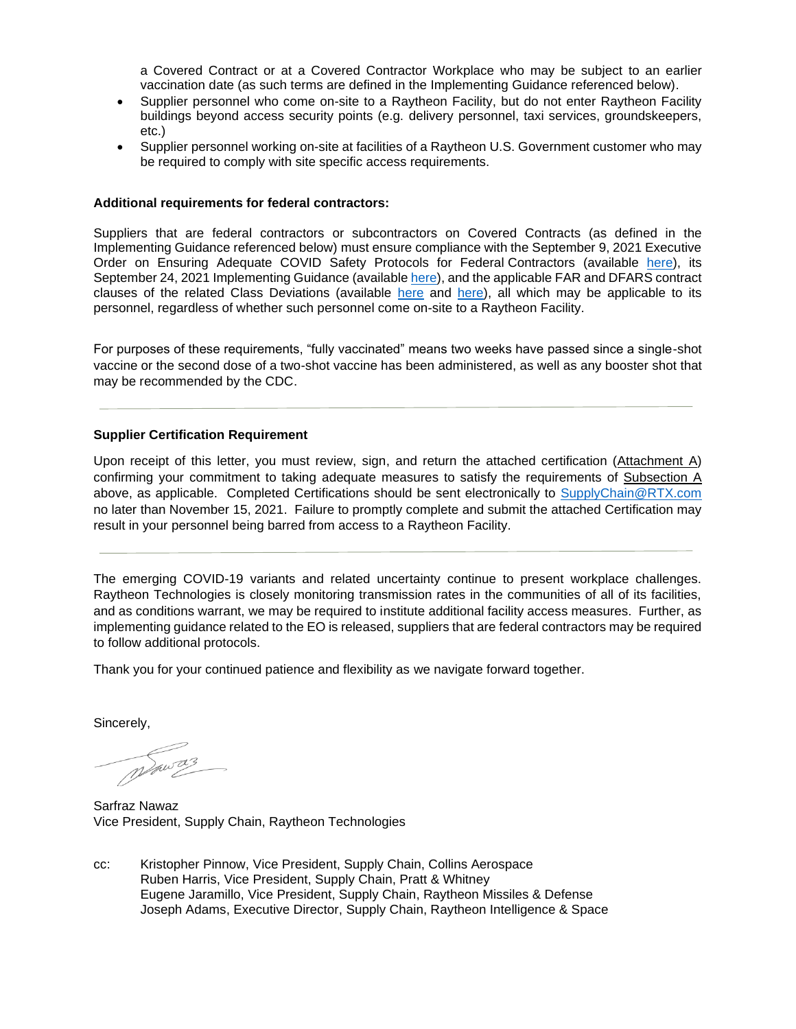a Covered Contract or at a Covered Contractor Workplace who may be subject to an earlier vaccination date (as such terms are defined in the Implementing Guidance referenced below).

- Supplier personnel who come on-site to a Raytheon Facility, but do not enter Raytheon Facility buildings beyond access security points (e.g. delivery personnel, taxi services, groundskeepers, etc.)
- Supplier personnel working on-site at facilities of a Raytheon U.S. Government customer who may be required to comply with site specific access requirements.

#### **Additional requirements for federal contractors:**

Suppliers that are federal contractors or subcontractors on Covered Contracts (as defined in the Implementing Guidance referenced below) must ensure compliance with the September 9, 2021 Executive Order on Ensuring Adequate COVID Safety Protocols for Federal Contractors (available [here\)](https://www.whitehouse.gov/briefing-room/presidential-actions/2021/09/09/executive-order-on-ensuring-adequate-covid-safety-protocols-for-federal-contractors/https:/www.whitehouse.gov/briefing-room/presidential-actions/2021/09/09/executive-order-on-ensuring-adequate-covid-safety-protocols-for-federal-contractors/), its September 24, 2021 Implementing Guidance (available [here\)](https://www.saferfederalworkforce.gov/downloads/Draft%20contractor%20guidance%20doc_20210922.pdf), and the applicable FAR and DFARS contract clauses of the related Class Deviations (available [here](https://www.gsa.gov/cdnstatic/Class%20Deviation%20CD-2021-13_0.pdf) and [here\)](https://www.acq.osd.mil/dpap/policy/policyvault/USA001998-21-DPC.pdf), all which may be applicable to its personnel, regardless of whether such personnel come on-site to a Raytheon Facility.

For purposes of these requirements, "fully vaccinated" means two weeks have passed since a single-shot vaccine or the second dose of a two-shot vaccine has been administered, as well as any booster shot that may be recommended by the CDC.

### **Supplier Certification Requirement**

Upon receipt of this letter, you must review, sign, and return the attached certification (Attachment A) confirming your commitment to taking adequate measures to satisfy the requirements of Subsection A above, as applicable. Completed Certifications should be sent electronically to [SupplyChain@RTX.com](mailto:SupplyChain@RTX.com) no later than November 15, 2021. Failure to promptly complete and submit the attached Certification may result in your personnel being barred from access to a Raytheon Facility.

The emerging COVID-19 variants and related uncertainty continue to present workplace challenges. Raytheon Technologies is closely monitoring transmission rates in the communities of all of its facilities, and as conditions warrant, we may be required to institute additional facility access measures. Further, as implementing guidance related to the EO is released, suppliers that are federal contractors may be required to follow additional protocols.

Thank you for your continued patience and flexibility as we navigate forward together.

Sincerely,

Sarfraz Nawaz Vice President, Supply Chain, Raytheon Technologies

cc: Kristopher Pinnow, Vice President, Supply Chain, Collins Aerospace Ruben Harris, Vice President, Supply Chain, Pratt & Whitney Eugene Jaramillo, Vice President, Supply Chain, Raytheon Missiles & Defense Joseph Adams, Executive Director, Supply Chain, Raytheon Intelligence & Space